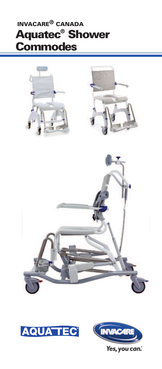# **Aquatec® Shower Commodes INVACARE® CANADA**





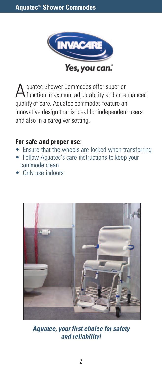

Aquatec Shower Commodes offer superior function, maximum adjustability and an enhanced quality of care. Aquatec commodes feature an innovative design that is ideal for independent users and also in a caregiver setting.

#### **For safe and proper use:**

- Ensure that the wheels are locked when transferring
- Follow Aquatec's care instructions to keep your commode clean
- Only use indoors



*Aquatec, your first choice for safety and reliability!*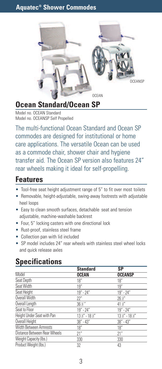

## **Ocean Standard/Ocean SP**

Model no. OCEAN Standard Model no. OCEANSP Self Propelled

The multi-functional Ocean Standard and Ocean SP commodes are designed for institutional or home care applications. The versatile Ocean can be used as a commode chair, shower chair and hygiene transfer aid. The Ocean SP version also features 24" rear wheels making it ideal for self-propelling.

#### **Features**

- Tool-free seat height adjustment range of 5" to fit over most toilets
- Removable, height-adjustable, swing-away footrests with adjustable heel loops
- Easy to clean smooth surfaces, detachable seat and tension adjustable, machine-washable backrest
- Four, 5" locking casters with one directional lock
- Rust-proof, stainless steel frame
- Collection pan with lid included
- SP model includes 24" rear wheels with stainless steel wheel locks and quick release axles

|                              | <b>Standard</b>                        | SP                                     |
|------------------------------|----------------------------------------|----------------------------------------|
| Model                        | <b>OCEAN</b>                           | <b>OCEANSP</b>                         |
| Seat Depth                   | 18"                                    | 18"                                    |
| Seat Width                   | 19''                                   | 19"                                    |
| Seat Height                  | $19" - 24"$                            | $19'' - 24''$                          |
| Overall Width                | 22"                                    | $26\,\mathrm{K}''$                     |
| Overall Length               | $36\,\%$ "                             | $41\frac{1}{2}$                        |
| Seat to Floor                | $19'' - 24''$                          | 19" - 24"                              |
| Height Under Seat with Pan   | $13\frac{1}{2}$ " - 18 $\frac{1}{2}$ " | $13\frac{1}{2}$ " - 18 $\frac{1}{2}$ " |
| Overall Height               | 38" - 43"                              | $38'' - 43''$                          |
| Width Between Armrests       | 18"                                    | 18"                                    |
| Distance Between Rear Wheels | 21"                                    | 21"                                    |
| Weight Capacity (Ibs.)       | 330                                    | 330                                    |
| Product Weight (lbs.)        | 32                                     | 43                                     |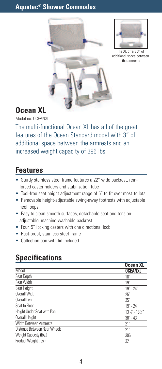



The XL offers 3" of additional space between the armrests

## **Ocean XL**

Model no: OCEANXL

The multi-functional Ocean XL has all of the great features of the Ocean Standard model with 3" of additional space between the armrests and an increased weight capacity of 396 lbs.

## **Features**

- Sturdy stainless steel frame features a 22" wide backrest, reinforced caster holders and stabilization tube
- Tool-free seat height adjustment range of 5" to fit over most toilets
- Removable height-adjustable swing-away footrests with adjustable heel loops
- Easy to clean smooth surfaces, detachable seat and tensionadjustable, machine-washable backrest
- Four, 5" locking casters with one directional lock
- Rust-proof, stainless steel frame
- Collection pan with lid included

|                              | <b>Ocean XL</b>   |
|------------------------------|-------------------|
| Model                        | <b>OCEANXL</b>    |
| Seat Depth                   | 18"               |
| Seat Width                   | 19"               |
| Seat Height                  | $19" - 24"$       |
| Overall Width                | 25''              |
| Overall Length               | 35''              |
| Seat to Floor                | $19" - 24"$       |
| Height Under Seat with Pan   | 13 1/2" - 18 1/2" |
| Overall Height               | $38'' - 43''$     |
| Width Between Armrests       | 21"               |
| Distance Between Rear Wheels | 21"               |
| Weight Capacity (Ibs.)       | 396               |
| Product Weight (lbs.)        | 32                |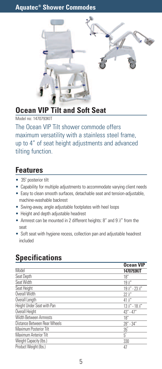

## **Ocean VIP Tilt and Soft Seat**

Model no: 1470793KIT

The Ocean VIP Tilt shower commode offers maximum versatility with a stainless steel frame, up to 4" of seat height adjustments and advanced tilting function.

## **Features**

- 35° posterior tilt
- Capability for multiple adjustments to accommodate varying client needs
- Easy to clean smooth surfaces, detachable seat and tension-adjustable, machine-washable backrest
- Swing-away, angle adjustable footplates with heel loops
- Height and depth adjustable headrest
- Armrest can be mounted in 2 different heights: 8" and 9 %" from the seat
- Soft seat with hygiene recess, collection pan and adjustable headrest included

|                              | <b>Ocean VIP</b>  |
|------------------------------|-------------------|
| Model                        | 1470793KIT        |
| Seat Depth                   | 18"               |
| Seat Width                   | $19\,\mathrm{K}$  |
| Seat Height                  | 19 1/2" - 23 1/2" |
| Overall Width                | $22\%$            |
| Overall Length               | $41\frac{1}{2}$   |
| Height Under Seat with Pan   | 13 1/2" - 18 1/2" |
| Overall Height               | $43" - 47"$       |
| Width Between Armrests       | 18"               |
| Distance Between Rear Wheels | 28" - 34"         |
| Maximum Posterior Tilt       | $35^\circ$        |
| Maximum Anterior Tilt        | $5^\circ$         |
| Weight Capacity (Ibs.)       | 330               |
| Product Weight (lbs.)        | 47                |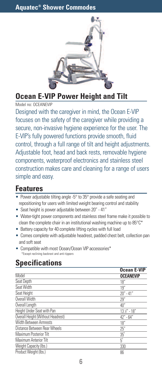

**Ocean E-VIP Power Height and Tilt**

Model no: OCEANEVIP

Designed with the caregiver in mind, the Ocean E-VIP focuses on the safety of the caregiver while providing a secure, non-invasive hygiene experience for the user. The E-VIP's fully powered functions provide smooth, fluid control, through a full range of tilt and height adjustments. Adjustable foot, head and back rests, removable hygiene components, waterproof electronics and stainless steel construction makes care and cleaning for a range of users simple and easy.

## **Features**

- Power adjustable tilting angle -5° to 35° provide a safe seating and repositioning for users with limited weight bearing control and stability
- Seat height is power adjustable between 20"- 41"
- Water-tight power components and stainless steel frame make it possible to clean the complete chair in an institutional washing machine up to  $85^{\circ}$ C\*
- Battery capacity for 40 complete lifting cycles with full load
- Comes complete with adjustable headrest, padded chest belt, collection pan and soft seat
- Compatible with most Ocean/Ocean VIP accessories\* \*Except reclining backrest and anti-tippers

|                                   | <b>Ocean E-VIP</b>      |
|-----------------------------------|-------------------------|
| Model                             | <b>OCEANEVIP</b>        |
| Seat Depth                        | 18"                     |
| Seat Width                        | 19''                    |
| Seat Height                       | $20" - 41"$             |
| Overall Width                     | 29''                    |
| Overall Length                    | 40"                     |
| Height Under Seat with Pan        | $13\frac{1}{2}$ " - 18" |
| Overall Height (Without Headrest) | 42" - 64"               |
| Width Between Armrests            | 18"                     |
| Distance Between Rear Wheels      | 25"                     |
| Maximum Posterior Tilt            | $35^\circ$              |
| Maximum Anterior Tilt             | $5^\circ$               |
| Weight Capacity (Ibs.)            | 330                     |
| Product Weight (lbs.)             | 86                      |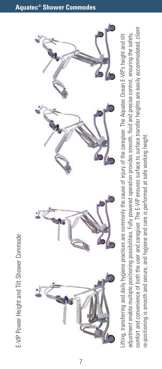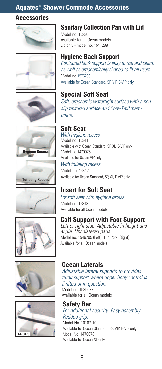#### **Aquatec® Shower Commode Accessories**

#### **Accessories**



















#### **Sanitary Collection Pan with Lid**

Model no. 10230 Available for all Ocean models Lid only - model no. 1541289

#### **Hygiene Back Support**

Contoured back support is easy to use and clean, as well as ergonomically shaped to fit all users. Model no.1575299 Available for Ocean Standard, SP, VIP, E-VIP only

#### **Special Soft Seat**

Soft, ergonomic watertight surface with <sup>a</sup> nonslip textured surface and Gore-Tex **®**membrane.

#### **Soft Seat**

With hygiene recess. Model no. 16341 Available with Ocean Standard, SP, XL, E-VIP only Model no.1470075 Available for Ocean VIP only With toileting recess.

Model no. 16342 Available for Ocean Standard, SP, XL, E-VIP only

### **Insert for Soft Seat**

For soft seat with hygiene recess. Model no. 16343 Available for all Ocean models

#### **Calf Support with Foot Support**

Left or right side. Adjustable in height and angle. Upholstered pads. Model no. 1546705 (Left), 1546439 (Right) Available for all Ocean models

#### **Ocean Laterals**

Adjustable lateral supports to provides trunk support where upper body control is limited or in question. Model no. 1535077 Available for all Ocean models

**Safety Bar** For additional security. Easy assembly. Padded grip. Model No. 10167-10 Available for Ocean Standard, SP, VIP, E-VIP only Model No. 1470078 Available for Ocean XL only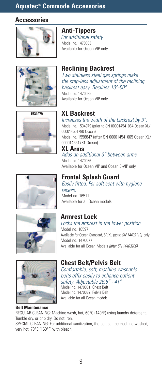#### **Aquatec® Commode Accessories**

#### **Accessories**



**Anti-Tippers** For additional safety. Model no. 1470833 Available for Ocean VIP only













#### **Belt Maintenance**

# **Reclining Backrest**

the step-less adjustment of the reclining

## **XL Backrest**

Increases the width of the backrest by 3". Model no. 1534979 (prior to SN 000014541064 Ocean XL/ 000014551780 Ocean) Model no. 1558847 (after SN 000014541065 Ocean XL/ 000014551781 Ocean) **XL Arms**

Adds an additional 3" between arms. Model no. 1470086

Available for Ocean VIP and Ocean E-VIP only

#### **Frontal Splash Guard**

Easily fitted. For soft seat with hygiene recess. Model no. 16511 Available for all Ocean models

### **Armrest Lock**

Locks the armrest in the lower position. Model no. 16597 Available for Ocean Standard, SP, XL (up to SN 14403119) only Model no. 1470077 Available for all Ocean Models (after SN 14403200)

#### **Chest Belt/Pelvis Belt**

Comfortable, soft, machine washable belts affix easily to enhance patient safety. Adjustable 26.5" - 41". Model no. 1470081, Chest Belt Model no. 1470082, Pelvis Belt Available for all Ocean models

REGULAR CLEANING: Machine wash, hot, 60°C (140°F) using laundry detergent. Tumble dry, or drip dry. Do not iron.

SPECIAL CLEANING: For additional sanitization, the belt can be machine washed, very hot, 70°C (160°F) with bleach.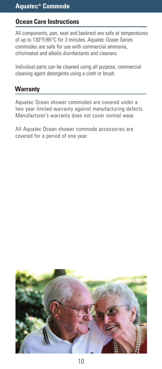#### **Ocean Care Instructions**

All components, pan, seat and backrest are safe at temperatures of up to 130°F/85°C for 3 minutes. Aquatec Ocean Series commodes are safe for use with commercial ammonia, chlorinated and alkalis disinfectants and cleaners.

Individual parts can be cleaned using all purpose, commercial cleaning agent detergents using a cloth or brush.

#### **Warranty**

Aquatec Ocean shower commodes are covered under a two year limited warranty against manufacturing defects. Manufacturer's warranty does not cover normal wear.

All Aquatec Ocean shower commode accessories are covered for a period of one year.

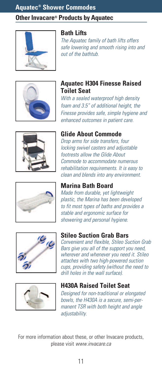#### **Other Invacare® Products by Aquatec**



#### **Bath Lifts**

The Aquatec family of bath lifts offers safe lowering and smooth rising into and out of the bathtub.



#### **Aquatec H304 Finesse Raised Toilet Seat**

With a sealed waterproof high density foam and 3.5" of additional height, the Finesse provides safe, simple hygiene and enhanced outcomes in patient care.



#### **Glide About Commode**

Drop arms for side transfers, four locking swivel casters and adjustable footrests allow the Glide About Commode to accommodate numerous rehabilitation requirements. It is easy to clean and blends into any environment.



#### **Marina Bath Board**

Made from durable, yet lightweight plastic, the Marina has been developed to fit most types of baths and provides <sup>a</sup> stable and ergonomic surface for showering and personal hygiene.



#### **Stileo Suction Grab Bars**

Convenient and flexible, Stileo Suction Grab Bars give you all of the support you need, wherever and whenever you need it. Stileo attaches with two high-powered suction cups, providing safety (without the need to drill holes in the wall surface).



#### **H430A Raised Toilet Seat**

Designed for non-traditional or elongated bowls, the H430A is <sup>a</sup> secure, semi-permanent TSR with both height and angle adjustability.

For more information about these, or other Invacare products, please visit www.invacare.ca